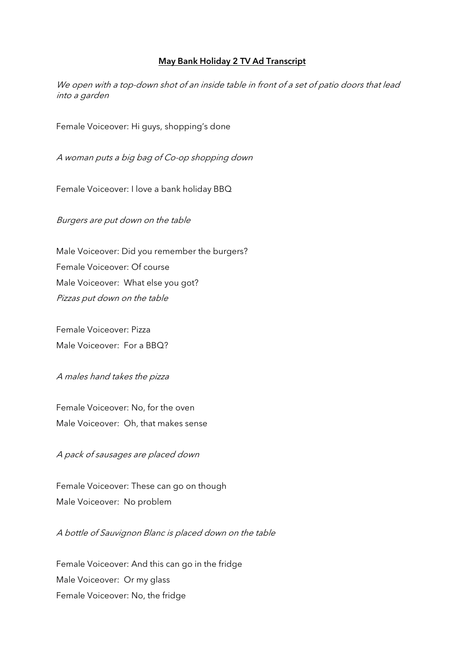## May Bank Holiday 2 TV Ad Transcript

We open with a top-down shot of an inside table in front of a set of patio doors that lead into a garden

Female Voiceover: Hi guys, shopping's done

A woman puts a big bag of Co-op shopping down

Female Voiceover: I love a bank holiday BBQ

Burgers are put down on the table

Male Voiceover: Did you remember the burgers? Female Voiceover: Of course Male Voiceover: What else you got? Pizzas put down on the table

Female Voiceover: Pizza Male Voiceover: For a BBQ?

## A males hand takes the pizza

Female Voiceover: No, for the oven Male Voiceover: Oh, that makes sense

A pack of sausages are placed down

Female Voiceover: These can go on though Male Voiceover: No problem

A bottle of Sauvignon Blanc is placed down on the table

Female Voiceover: And this can go in the fridge Male Voiceover: Or my glass Female Voiceover: No, the fridge